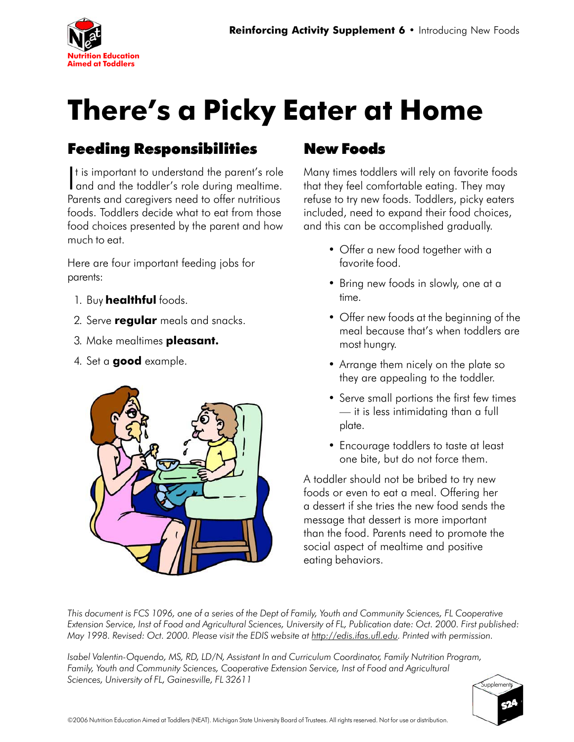

## **There's a Picky Eater at Home**

## Feeding Responsibilities

It is important to understand the parent's role<br>and and the toddler's role during mealtime. t is important to understand the parent's role Parents and caregivers need to offer nutritious foods. Toddlers decide what to eat from those food choices presented by the parent and how much to eat.

Here are four important feeding jobs for parents:

- 1. Buy **healthful** foods.
- 2. Serve **regular** meals and snacks.
- 3. Make mealtimes **pleasant.**
- 4. Set a **good** example.



## New Foods

Many times toddlers will rely on favorite foods that they feel comfortable eating. They may refuse to try new foods. Toddlers, picky eaters included, need to expand their food choices, and this can be accomplished gradually.

- Offer a new food together with a favorite food.
- Bring new foods in slowly, one at a time.
- Offer new foods at the beginning of the meal because that's when toddlers are most hungry.
- Arrange them nicely on the plate so they are appealing to the toddler.
- Serve small portions the first few times — it is less intimidating than a full plate.
- Encourage toddlers to taste at least one bite, but do not force them.

A toddler should not be bribed to try new foods or even to eat a meal. Offering her a dessert if she tries the new food sends the message that dessert is more important than the food. Parents need to promote the social aspect of mealtime and positive eating behaviors.

*This document is FCS 1096, one of a series of the Dept of Family, Youth and Community Sciences, FL Cooperative Extension Service, Inst of Food and Agricultural Sciences, University of FL, Publication date: Oct. 2000. First published: May 1998. Revised: Oct. 2000. Please visit the EDIS website at http://edis.ifas.ufl.edu. Printed with permission.*

*Isabel Valentin-Oquendo, MS, RD, LD/N, Assistant In and Curriculum Coordinator, Family Nutrition Program, Family, Youth and Community Sciences, Cooperative Extension Service, Inst of Food and Agricultural Sciences, University of FL, Gainesville, FL 32611*